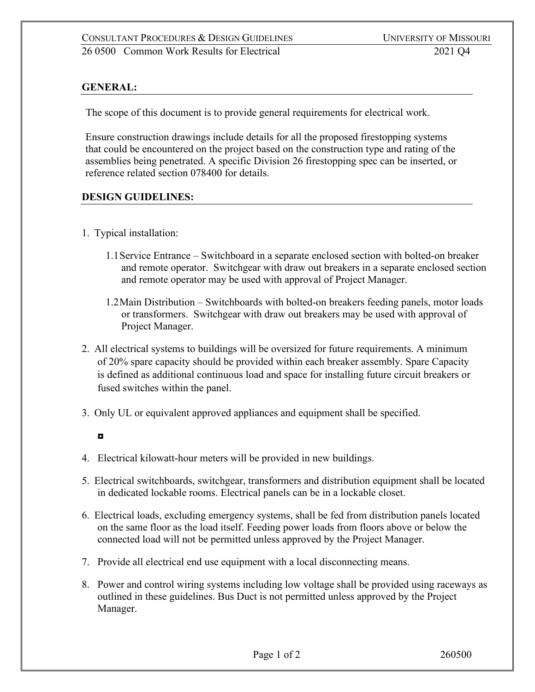## **GENERAL:**

The scope of this document is to provide general requirements for electrical work.

Ensure construction drawings include details for all the proposed firestopping systems that could be encountered on the project based on the construction type and rating of the assemblies being penetrated. A specific Division 26 firestopping spec can be inserted, or reference related section 078400 for details.

## **DESIGN GUIDELINES:**

- 1. Typical installation:
	- 1.1Service Entrance Switchboard in a separate enclosed section with bolted-on breaker and remote operator. Switchgear with draw out breakers in a separate enclosed section and remote operator may be used with approval of Project Manager.
	- 1.2Main Distribution Switchboards with bolted-on breakers feeding panels, motor loads or transformers. Switchgear with draw out breakers may be used with approval of Project Manager.
- 2. All electrical systems to buildings will be oversized for future requirements. A minimum of 20% spare capacity should be provided within each breaker assembly. Spare Capacity is defined as additional continuous load and space for installing future circuit breakers or fused switches within the panel.
- 3. Only UL or equivalent approved appliances and equipment shall be specified.

- 4. Electrical kilowatt-hour meters will be provided in new buildings.
- 5. Electrical switchboards, switchgear, transformers and distribution equipment shall be located in dedicated lockable rooms. Electrical panels can be in a lockable closet.
- 6. Electrical loads, excluding emergency systems, shall be fed from distribution panels located on the same floor as the load itself. Feeding power loads from floors above or below the connected load will not be permitted unless approved by the Project Manager.
- 7. Provide all electrical end use equipment with a local disconnecting means.
- 8. Power and control wiring systems including low voltage shall be provided using raceways as outlined in these guidelines. Bus Duct is not permitted unless approved by the Project Manager.

<sup>◘</sup>